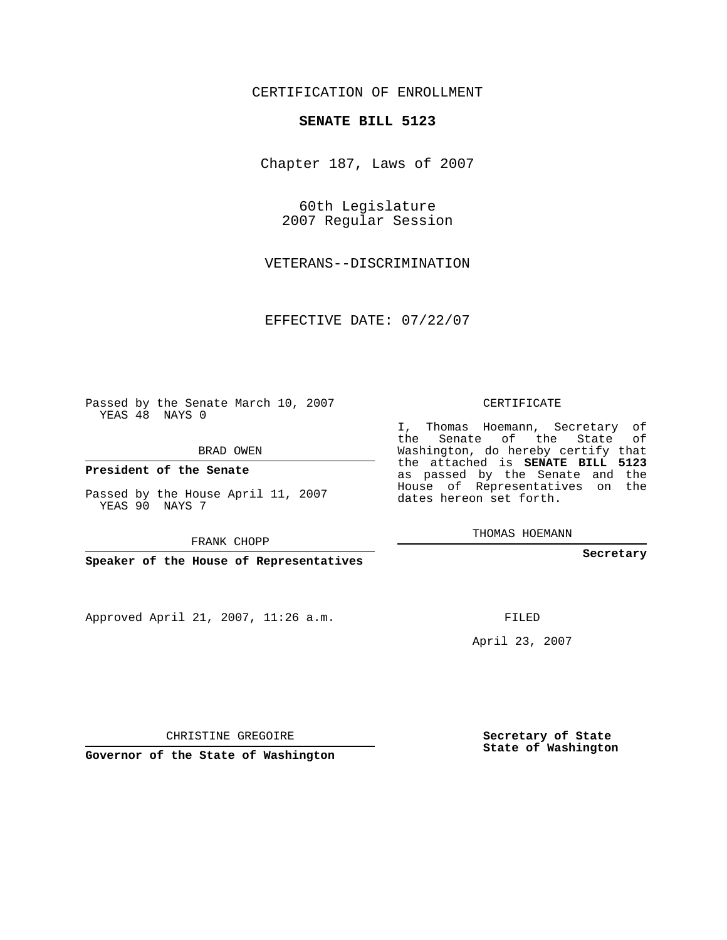CERTIFICATION OF ENROLLMENT

## **SENATE BILL 5123**

Chapter 187, Laws of 2007

60th Legislature 2007 Regular Session

VETERANS--DISCRIMINATION

EFFECTIVE DATE: 07/22/07

Passed by the Senate March 10, 2007 YEAS 48 NAYS 0

BRAD OWEN

**President of the Senate**

Passed by the House April 11, 2007 YEAS 90 NAYS 7

FRANK CHOPP

**Speaker of the House of Representatives**

Approved April 21, 2007, 11:26 a.m.

CERTIFICATE

I, Thomas Hoemann, Secretary of the Senate of the State of Washington, do hereby certify that the attached is **SENATE BILL 5123** as passed by the Senate and the House of Representatives on the dates hereon set forth.

THOMAS HOEMANN

**Secretary**

FILED

April 23, 2007

CHRISTINE GREGOIRE

**Governor of the State of Washington**

**Secretary of State State of Washington**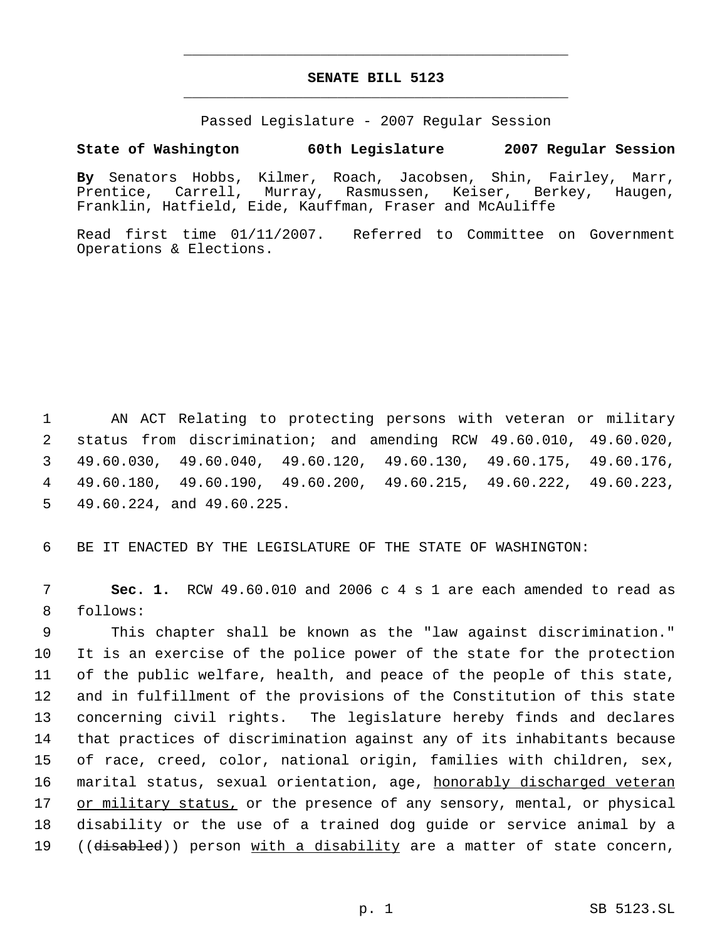## **SENATE BILL 5123** \_\_\_\_\_\_\_\_\_\_\_\_\_\_\_\_\_\_\_\_\_\_\_\_\_\_\_\_\_\_\_\_\_\_\_\_\_\_\_\_\_\_\_\_\_

\_\_\_\_\_\_\_\_\_\_\_\_\_\_\_\_\_\_\_\_\_\_\_\_\_\_\_\_\_\_\_\_\_\_\_\_\_\_\_\_\_\_\_\_\_

Passed Legislature - 2007 Regular Session

## **State of Washington 60th Legislature 2007 Regular Session**

**By** Senators Hobbs, Kilmer, Roach, Jacobsen, Shin, Fairley, Marr, Prentice, Carrell, Murray, Rasmussen, Keiser, Berkey, Haugen, Franklin, Hatfield, Eide, Kauffman, Fraser and McAuliffe

Read first time 01/11/2007. Referred to Committee on Government Operations & Elections.

 AN ACT Relating to protecting persons with veteran or military status from discrimination; and amending RCW 49.60.010, 49.60.020, 49.60.030, 49.60.040, 49.60.120, 49.60.130, 49.60.175, 49.60.176, 49.60.180, 49.60.190, 49.60.200, 49.60.215, 49.60.222, 49.60.223, 49.60.224, and 49.60.225.

6 BE IT ENACTED BY THE LEGISLATURE OF THE STATE OF WASHINGTON:

 7 **Sec. 1.** RCW 49.60.010 and 2006 c 4 s 1 are each amended to read as 8 follows:

 This chapter shall be known as the "law against discrimination." It is an exercise of the police power of the state for the protection of the public welfare, health, and peace of the people of this state, and in fulfillment of the provisions of the Constitution of this state concerning civil rights. The legislature hereby finds and declares that practices of discrimination against any of its inhabitants because of race, creed, color, national origin, families with children, sex, 16 marital status, sexual orientation, age, honorably discharged veteran 17 or military status, or the presence of any sensory, mental, or physical disability or the use of a trained dog guide or service animal by a 19 ((disabled)) person with a disability are a matter of state concern,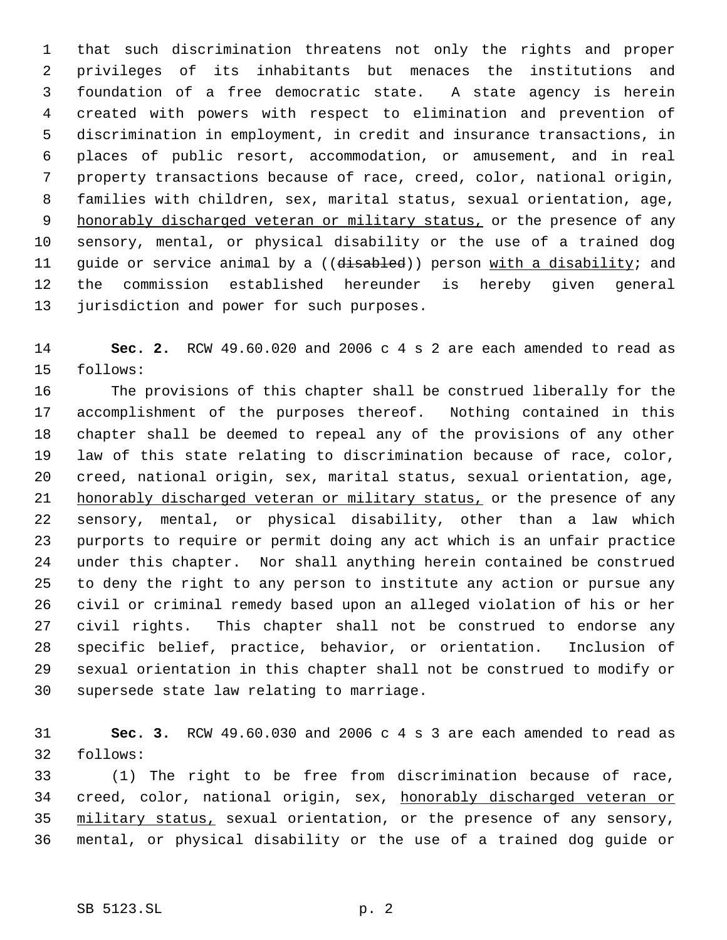that such discrimination threatens not only the rights and proper privileges of its inhabitants but menaces the institutions and foundation of a free democratic state. A state agency is herein created with powers with respect to elimination and prevention of discrimination in employment, in credit and insurance transactions, in places of public resort, accommodation, or amusement, and in real property transactions because of race, creed, color, national origin, families with children, sex, marital status, sexual orientation, age, 9 honorably discharged veteran or military status, or the presence of any sensory, mental, or physical disability or the use of a trained dog 11 guide or service animal by a ((disabled)) person with a disability; and the commission established hereunder is hereby given general jurisdiction and power for such purposes.

 **Sec. 2.** RCW 49.60.020 and 2006 c 4 s 2 are each amended to read as follows:

 The provisions of this chapter shall be construed liberally for the accomplishment of the purposes thereof. Nothing contained in this chapter shall be deemed to repeal any of the provisions of any other law of this state relating to discrimination because of race, color, creed, national origin, sex, marital status, sexual orientation, age, 21 honorably discharged veteran or military status, or the presence of any sensory, mental, or physical disability, other than a law which purports to require or permit doing any act which is an unfair practice under this chapter. Nor shall anything herein contained be construed to deny the right to any person to institute any action or pursue any civil or criminal remedy based upon an alleged violation of his or her civil rights. This chapter shall not be construed to endorse any specific belief, practice, behavior, or orientation. Inclusion of sexual orientation in this chapter shall not be construed to modify or supersede state law relating to marriage.

 **Sec. 3.** RCW 49.60.030 and 2006 c 4 s 3 are each amended to read as follows:

 (1) The right to be free from discrimination because of race, creed, color, national origin, sex, honorably discharged veteran or military status, sexual orientation, or the presence of any sensory, mental, or physical disability or the use of a trained dog guide or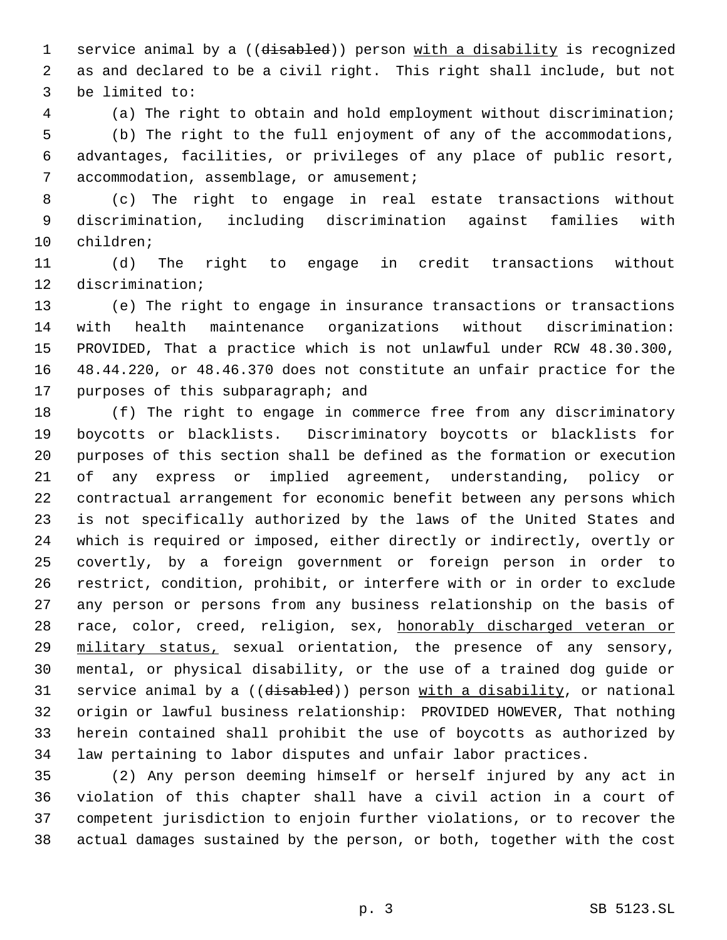1 service animal by a ((disabled)) person with a disability is recognized as and declared to be a civil right. This right shall include, but not be limited to:

 (a) The right to obtain and hold employment without discrimination; (b) The right to the full enjoyment of any of the accommodations, advantages, facilities, or privileges of any place of public resort, 7 accommodation, assemblage, or amusement;

 (c) The right to engage in real estate transactions without discrimination, including discrimination against families with children;

 (d) The right to engage in credit transactions without discrimination;

 (e) The right to engage in insurance transactions or transactions with health maintenance organizations without discrimination: PROVIDED, That a practice which is not unlawful under RCW 48.30.300, 48.44.220, or 48.46.370 does not constitute an unfair practice for the purposes of this subparagraph; and

 (f) The right to engage in commerce free from any discriminatory boycotts or blacklists. Discriminatory boycotts or blacklists for purposes of this section shall be defined as the formation or execution of any express or implied agreement, understanding, policy or contractual arrangement for economic benefit between any persons which is not specifically authorized by the laws of the United States and which is required or imposed, either directly or indirectly, overtly or covertly, by a foreign government or foreign person in order to restrict, condition, prohibit, or interfere with or in order to exclude any person or persons from any business relationship on the basis of 28 race, color, creed, religion, sex, honorably discharged veteran or military status, sexual orientation, the presence of any sensory, mental, or physical disability, or the use of a trained dog guide or 31 service animal by a ((disabled)) person with a disability, or national origin or lawful business relationship: PROVIDED HOWEVER, That nothing herein contained shall prohibit the use of boycotts as authorized by law pertaining to labor disputes and unfair labor practices.

 (2) Any person deeming himself or herself injured by any act in violation of this chapter shall have a civil action in a court of competent jurisdiction to enjoin further violations, or to recover the actual damages sustained by the person, or both, together with the cost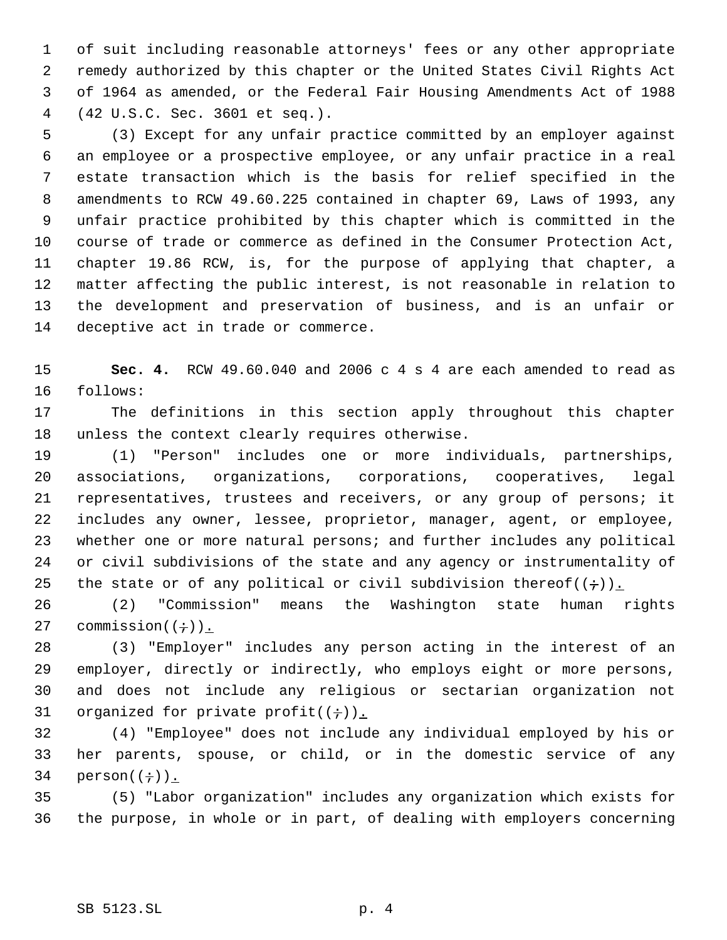of suit including reasonable attorneys' fees or any other appropriate remedy authorized by this chapter or the United States Civil Rights Act of 1964 as amended, or the Federal Fair Housing Amendments Act of 1988 (42 U.S.C. Sec. 3601 et seq.).

 (3) Except for any unfair practice committed by an employer against an employee or a prospective employee, or any unfair practice in a real estate transaction which is the basis for relief specified in the amendments to RCW 49.60.225 contained in chapter 69, Laws of 1993, any unfair practice prohibited by this chapter which is committed in the course of trade or commerce as defined in the Consumer Protection Act, chapter 19.86 RCW, is, for the purpose of applying that chapter, a matter affecting the public interest, is not reasonable in relation to the development and preservation of business, and is an unfair or deceptive act in trade or commerce.

 **Sec. 4.** RCW 49.60.040 and 2006 c 4 s 4 are each amended to read as follows:

 The definitions in this section apply throughout this chapter unless the context clearly requires otherwise.

 (1) "Person" includes one or more individuals, partnerships, associations, organizations, corporations, cooperatives, legal representatives, trustees and receivers, or any group of persons; it includes any owner, lessee, proprietor, manager, agent, or employee, whether one or more natural persons; and further includes any political or civil subdivisions of the state and any agency or instrumentality of 25 the state or of any political or civil subdivision thereof( $(+)$ ).

 (2) "Commission" means the Washington state human rights 27 commission $((\div))$ .

 (3) "Employer" includes any person acting in the interest of an employer, directly or indirectly, who employs eight or more persons, and does not include any religious or sectarian organization not 31 organized for private profit $((\div))$ .

 (4) "Employee" does not include any individual employed by his or her parents, spouse, or child, or in the domestic service of any 34 person $((\div))$ .

 (5) "Labor organization" includes any organization which exists for the purpose, in whole or in part, of dealing with employers concerning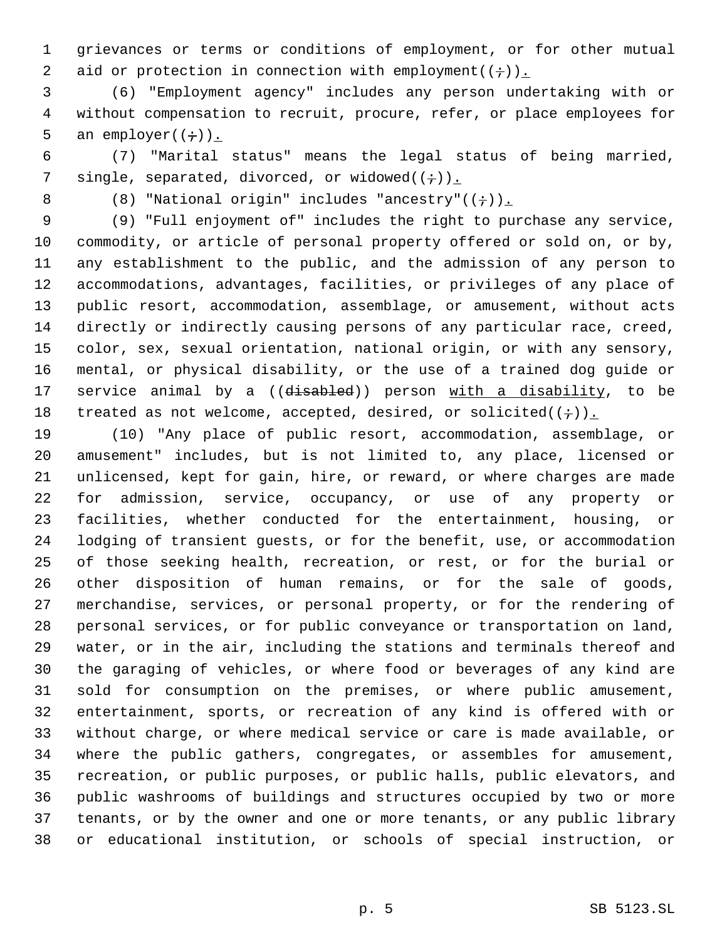grievances or terms or conditions of employment, or for other mutual 2 aid or protection in connection with employment( $(+)$ ).

 (6) "Employment agency" includes any person undertaking with or without compensation to recruit, procure, refer, or place employees for 5 an employer( $(\div)$ ).

 (7) "Marital status" means the legal status of being married, 7 single, separated, divorced, or widowed( $(+)$ ).

8 (8) "National origin" includes "ancestry"( $(+)$ ).

 (9) "Full enjoyment of" includes the right to purchase any service, commodity, or article of personal property offered or sold on, or by, any establishment to the public, and the admission of any person to accommodations, advantages, facilities, or privileges of any place of public resort, accommodation, assemblage, or amusement, without acts directly or indirectly causing persons of any particular race, creed, color, sex, sexual orientation, national origin, or with any sensory, mental, or physical disability, or the use of a trained dog guide or 17 service animal by a ((disabled)) person with a disability, to be 18 treated as not welcome, accepted, desired, or solicited( $(+)$ ).

 (10) "Any place of public resort, accommodation, assemblage, or amusement" includes, but is not limited to, any place, licensed or unlicensed, kept for gain, hire, or reward, or where charges are made for admission, service, occupancy, or use of any property or facilities, whether conducted for the entertainment, housing, or lodging of transient guests, or for the benefit, use, or accommodation of those seeking health, recreation, or rest, or for the burial or other disposition of human remains, or for the sale of goods, merchandise, services, or personal property, or for the rendering of personal services, or for public conveyance or transportation on land, water, or in the air, including the stations and terminals thereof and the garaging of vehicles, or where food or beverages of any kind are sold for consumption on the premises, or where public amusement, entertainment, sports, or recreation of any kind is offered with or without charge, or where medical service or care is made available, or where the public gathers, congregates, or assembles for amusement, recreation, or public purposes, or public halls, public elevators, and public washrooms of buildings and structures occupied by two or more tenants, or by the owner and one or more tenants, or any public library or educational institution, or schools of special instruction, or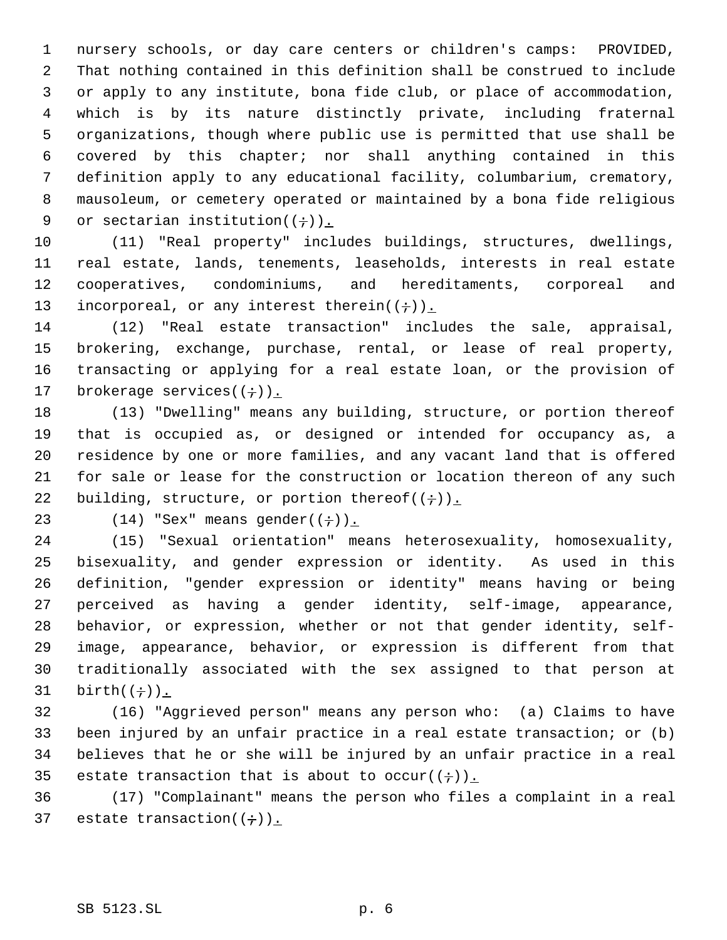nursery schools, or day care centers or children's camps: PROVIDED, That nothing contained in this definition shall be construed to include or apply to any institute, bona fide club, or place of accommodation, which is by its nature distinctly private, including fraternal organizations, though where public use is permitted that use shall be covered by this chapter; nor shall anything contained in this definition apply to any educational facility, columbarium, crematory, mausoleum, or cemetery operated or maintained by a bona fide religious 9 or sectarian institution( $(\div)$ ).

 (11) "Real property" includes buildings, structures, dwellings, real estate, lands, tenements, leaseholds, interests in real estate cooperatives, condominiums, and hereditaments, corporeal and 13 incorporeal, or any interest therein $((\div))_{\perp}$ 

 (12) "Real estate transaction" includes the sale, appraisal, brokering, exchange, purchase, rental, or lease of real property, transacting or applying for a real estate loan, or the provision of 17 brokerage services $((\div))_{\perp}$ 

 (13) "Dwelling" means any building, structure, or portion thereof that is occupied as, or designed or intended for occupancy as, a residence by one or more families, and any vacant land that is offered for sale or lease for the construction or location thereon of any such 22 building, structure, or portion thereof( $(\div)$ ).

23 (14) "Sex" means gender( $(\div)$ ).

 (15) "Sexual orientation" means heterosexuality, homosexuality, bisexuality, and gender expression or identity. As used in this definition, "gender expression or identity" means having or being perceived as having a gender identity, self-image, appearance, behavior, or expression, whether or not that gender identity, self- image, appearance, behavior, or expression is different from that traditionally associated with the sex assigned to that person at 31 birth $((\div))$ .

 (16) "Aggrieved person" means any person who: (a) Claims to have been injured by an unfair practice in a real estate transaction; or (b) believes that he or she will be injured by an unfair practice in a real 35 estate transaction that is about to occur( $(+)$ ).

 (17) "Complainant" means the person who files a complaint in a real 37 estate transaction( $(\div)$ ).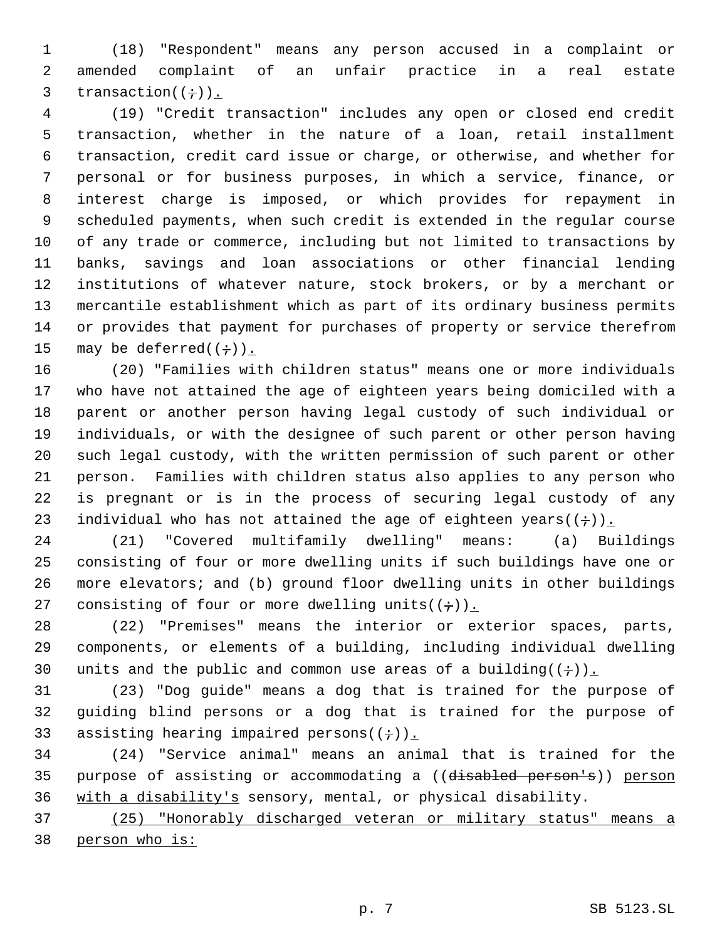(18) "Respondent" means any person accused in a complaint or amended complaint of an unfair practice in a real estate 3 transaction( $(\div)$ ).

 (19) "Credit transaction" includes any open or closed end credit transaction, whether in the nature of a loan, retail installment transaction, credit card issue or charge, or otherwise, and whether for personal or for business purposes, in which a service, finance, or interest charge is imposed, or which provides for repayment in scheduled payments, when such credit is extended in the regular course of any trade or commerce, including but not limited to transactions by banks, savings and loan associations or other financial lending institutions of whatever nature, stock brokers, or by a merchant or mercantile establishment which as part of its ordinary business permits or provides that payment for purchases of property or service therefrom 15 may be deferred( $(+)$ ).

 (20) "Families with children status" means one or more individuals who have not attained the age of eighteen years being domiciled with a parent or another person having legal custody of such individual or individuals, or with the designee of such parent or other person having such legal custody, with the written permission of such parent or other person. Families with children status also applies to any person who is pregnant or is in the process of securing legal custody of any 23 individual who has not attained the age of eighteen years( $(+)$ ).

 (21) "Covered multifamily dwelling" means: (a) Buildings consisting of four or more dwelling units if such buildings have one or more elevators; and (b) ground floor dwelling units in other buildings 27 consisting of four or more dwelling units( $(+)$ ).

 (22) "Premises" means the interior or exterior spaces, parts, components, or elements of a building, including individual dwelling 30 units and the public and common use areas of a building( $(+)$ ).

 (23) "Dog guide" means a dog that is trained for the purpose of guiding blind persons or a dog that is trained for the purpose of 33 assisting hearing impaired persons( $(+)$ ).

 (24) "Service animal" means an animal that is trained for the purpose of assisting or accommodating a ((disabled person's)) person with a disability's sensory, mental, or physical disability.

 (25) "Honorably discharged veteran or military status" means a person who is: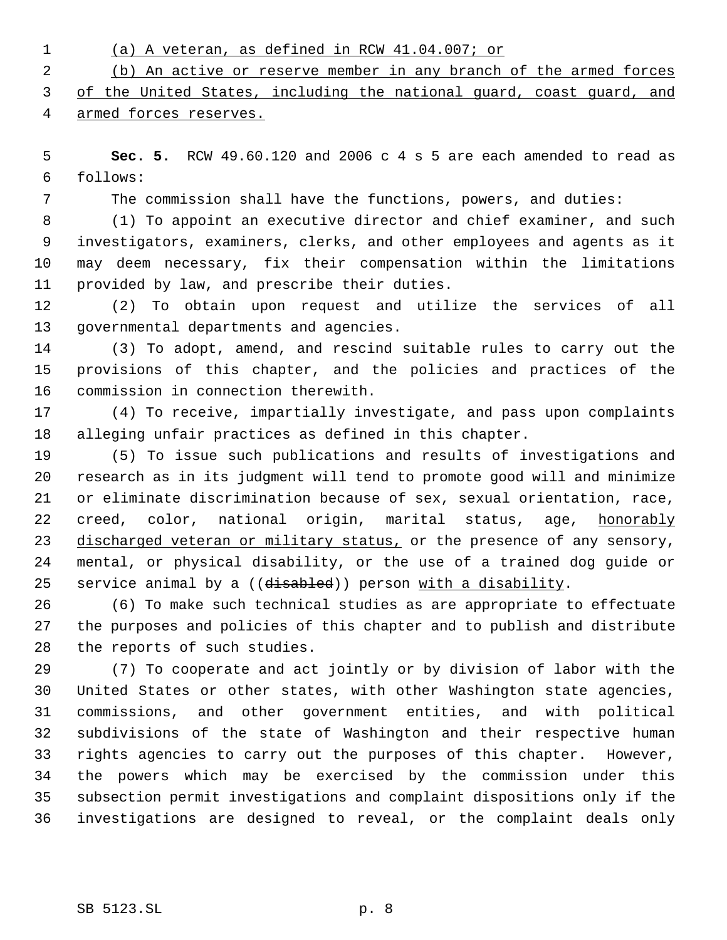- (a) A veteran, as defined in RCW 41.04.007; or (b) An active or reserve member in any branch of the armed forces of the United States, including the national guard, coast guard, and
- armed forces reserves.

 **Sec. 5.** RCW 49.60.120 and 2006 c 4 s 5 are each amended to read as follows:

The commission shall have the functions, powers, and duties:

 (1) To appoint an executive director and chief examiner, and such investigators, examiners, clerks, and other employees and agents as it may deem necessary, fix their compensation within the limitations provided by law, and prescribe their duties.

 (2) To obtain upon request and utilize the services of all governmental departments and agencies.

 (3) To adopt, amend, and rescind suitable rules to carry out the provisions of this chapter, and the policies and practices of the commission in connection therewith.

 (4) To receive, impartially investigate, and pass upon complaints alleging unfair practices as defined in this chapter.

 (5) To issue such publications and results of investigations and research as in its judgment will tend to promote good will and minimize or eliminate discrimination because of sex, sexual orientation, race, 22 creed, color, national origin, marital status, age, honorably 23 discharged veteran or military status, or the presence of any sensory, mental, or physical disability, or the use of a trained dog guide or 25 service animal by a ((disabled)) person with a disability.

 (6) To make such technical studies as are appropriate to effectuate the purposes and policies of this chapter and to publish and distribute the reports of such studies.

 (7) To cooperate and act jointly or by division of labor with the United States or other states, with other Washington state agencies, commissions, and other government entities, and with political subdivisions of the state of Washington and their respective human rights agencies to carry out the purposes of this chapter. However, the powers which may be exercised by the commission under this subsection permit investigations and complaint dispositions only if the investigations are designed to reveal, or the complaint deals only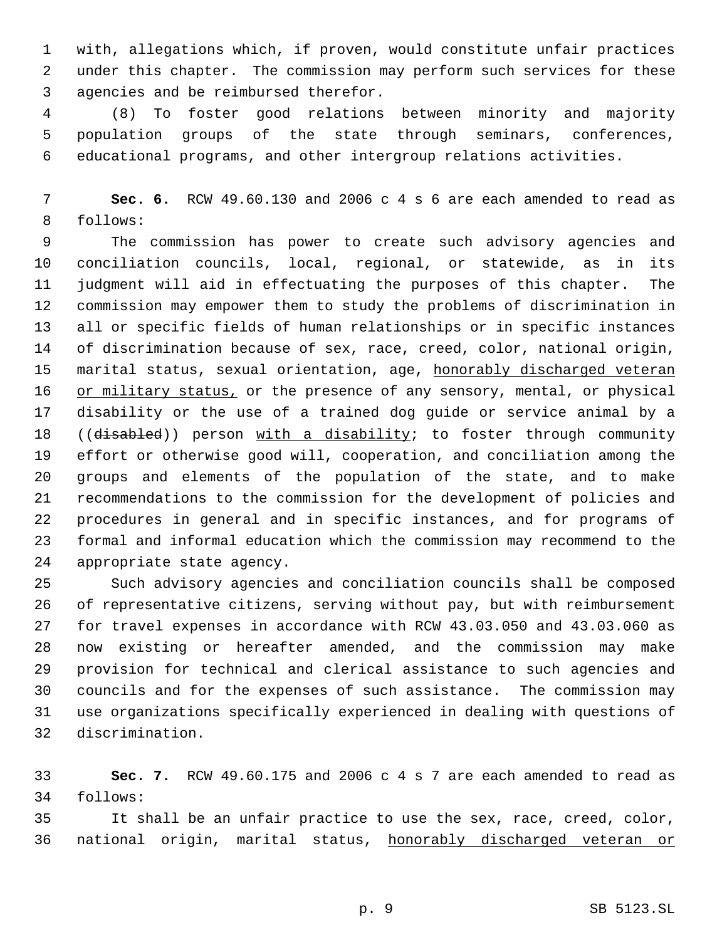with, allegations which, if proven, would constitute unfair practices under this chapter. The commission may perform such services for these agencies and be reimbursed therefor.

 (8) To foster good relations between minority and majority population groups of the state through seminars, conferences, educational programs, and other intergroup relations activities.

 **Sec. 6.** RCW 49.60.130 and 2006 c 4 s 6 are each amended to read as follows:

 The commission has power to create such advisory agencies and conciliation councils, local, regional, or statewide, as in its judgment will aid in effectuating the purposes of this chapter. The commission may empower them to study the problems of discrimination in all or specific fields of human relationships or in specific instances of discrimination because of sex, race, creed, color, national origin, 15 marital status, sexual orientation, age, honorably discharged veteran 16 or military status, or the presence of any sensory, mental, or physical disability or the use of a trained dog guide or service animal by a 18 ((disabled)) person with a disability; to foster through community effort or otherwise good will, cooperation, and conciliation among the groups and elements of the population of the state, and to make recommendations to the commission for the development of policies and procedures in general and in specific instances, and for programs of formal and informal education which the commission may recommend to the appropriate state agency.

 Such advisory agencies and conciliation councils shall be composed of representative citizens, serving without pay, but with reimbursement for travel expenses in accordance with RCW 43.03.050 and 43.03.060 as now existing or hereafter amended, and the commission may make provision for technical and clerical assistance to such agencies and councils and for the expenses of such assistance. The commission may use organizations specifically experienced in dealing with questions of discrimination.

 **Sec. 7.** RCW 49.60.175 and 2006 c 4 s 7 are each amended to read as follows:

 It shall be an unfair practice to use the sex, race, creed, color, national origin, marital status, honorably discharged veteran or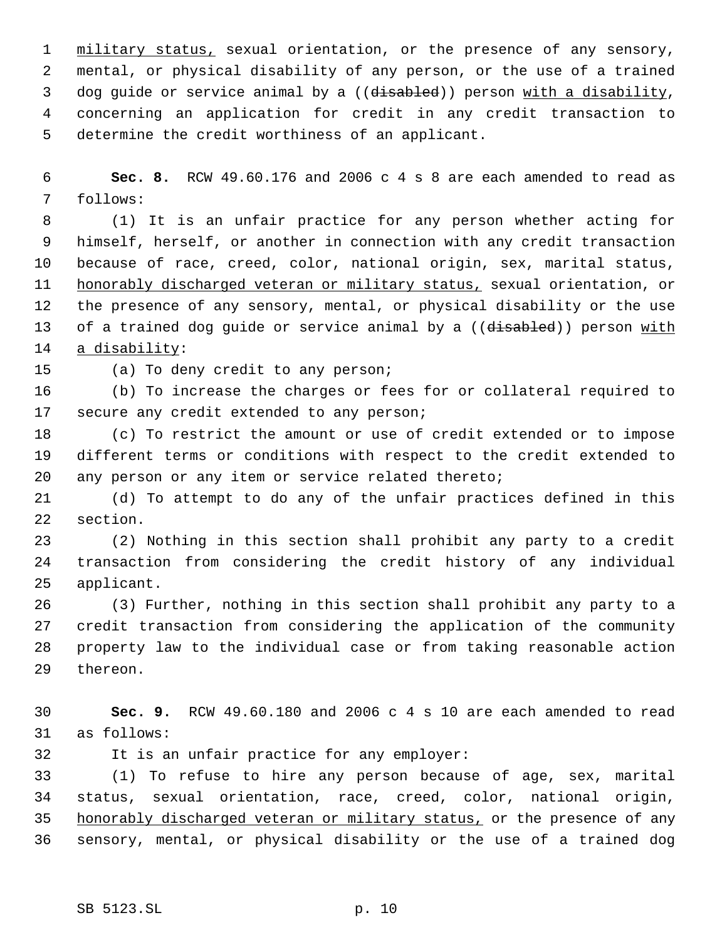1 military status, sexual orientation, or the presence of any sensory, mental, or physical disability of any person, or the use of a trained 3 dog guide or service animal by a ((disabled)) person with a disability, concerning an application for credit in any credit transaction to determine the credit worthiness of an applicant.

 **Sec. 8.** RCW 49.60.176 and 2006 c 4 s 8 are each amended to read as follows:

 (1) It is an unfair practice for any person whether acting for himself, herself, or another in connection with any credit transaction because of race, creed, color, national origin, sex, marital status, honorably discharged veteran or military status, sexual orientation, or the presence of any sensory, mental, or physical disability or the use 13 of a trained dog quide or service animal by a ((disabled)) person with 14 a disability:

(a) To deny credit to any person;

 (b) To increase the charges or fees for or collateral required to 17 secure any credit extended to any person;

 (c) To restrict the amount or use of credit extended or to impose different terms or conditions with respect to the credit extended to any person or any item or service related thereto;

 (d) To attempt to do any of the unfair practices defined in this section.

 (2) Nothing in this section shall prohibit any party to a credit transaction from considering the credit history of any individual applicant.

 (3) Further, nothing in this section shall prohibit any party to a credit transaction from considering the application of the community property law to the individual case or from taking reasonable action thereon.

 **Sec. 9.** RCW 49.60.180 and 2006 c 4 s 10 are each amended to read as follows:

It is an unfair practice for any employer:

 (1) To refuse to hire any person because of age, sex, marital status, sexual orientation, race, creed, color, national origin, 35 honorably discharged veteran or military status, or the presence of any sensory, mental, or physical disability or the use of a trained dog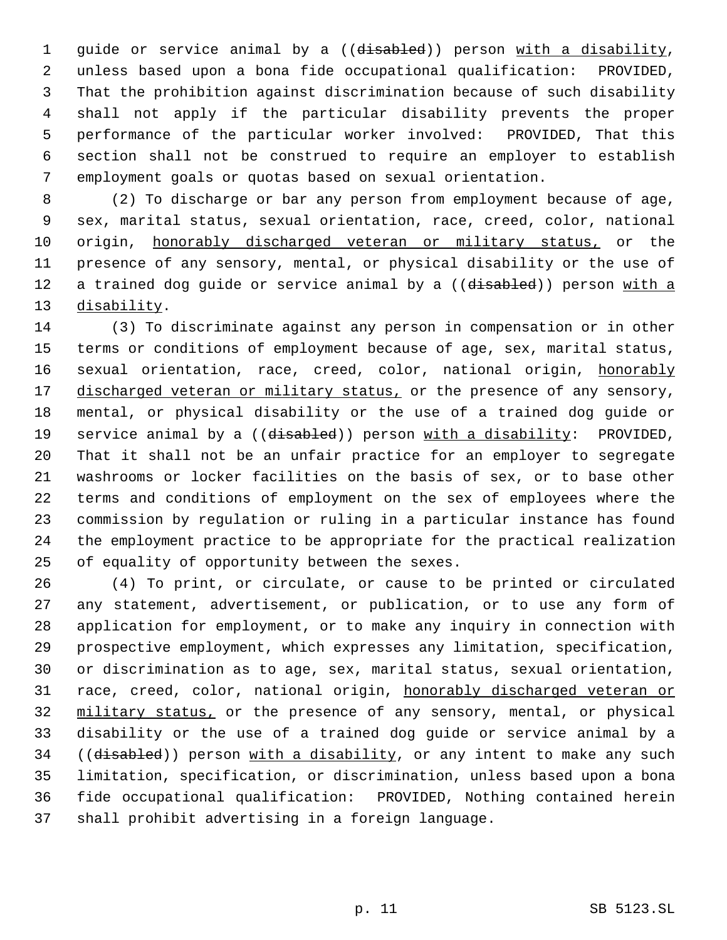1 guide or service animal by a ((disabled)) person with a disability, unless based upon a bona fide occupational qualification: PROVIDED, That the prohibition against discrimination because of such disability shall not apply if the particular disability prevents the proper performance of the particular worker involved: PROVIDED, That this section shall not be construed to require an employer to establish employment goals or quotas based on sexual orientation.

 (2) To discharge or bar any person from employment because of age, sex, marital status, sexual orientation, race, creed, color, national origin, honorably discharged veteran or military status, or the presence of any sensory, mental, or physical disability or the use of 12 a trained dog guide or service animal by a ((disabled)) person with a 13 disability.

 (3) To discriminate against any person in compensation or in other terms or conditions of employment because of age, sex, marital status, 16 sexual orientation, race, creed, color, national origin, honorably 17 discharged veteran or military status, or the presence of any sensory, mental, or physical disability or the use of a trained dog guide or 19 service animal by a ((disabled)) person with a disability: PROVIDED, That it shall not be an unfair practice for an employer to segregate washrooms or locker facilities on the basis of sex, or to base other terms and conditions of employment on the sex of employees where the commission by regulation or ruling in a particular instance has found the employment practice to be appropriate for the practical realization of equality of opportunity between the sexes.

 (4) To print, or circulate, or cause to be printed or circulated any statement, advertisement, or publication, or to use any form of application for employment, or to make any inquiry in connection with prospective employment, which expresses any limitation, specification, or discrimination as to age, sex, marital status, sexual orientation, race, creed, color, national origin, honorably discharged veteran or military status, or the presence of any sensory, mental, or physical disability or the use of a trained dog guide or service animal by a 34 ((disabled)) person with a disability, or any intent to make any such limitation, specification, or discrimination, unless based upon a bona fide occupational qualification: PROVIDED, Nothing contained herein shall prohibit advertising in a foreign language.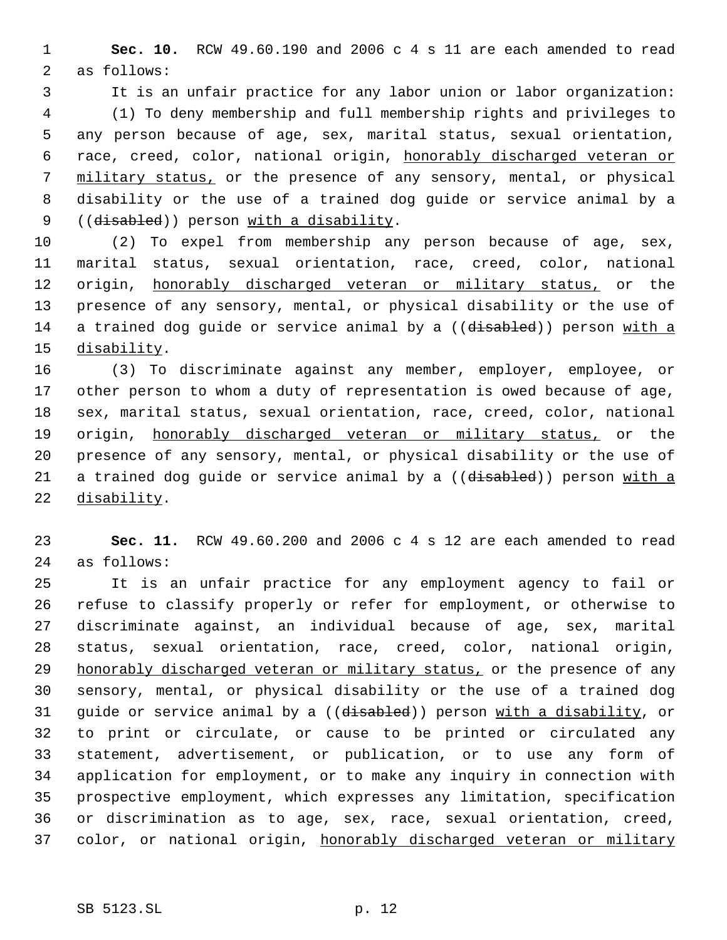**Sec. 10.** RCW 49.60.190 and 2006 c 4 s 11 are each amended to read as follows:

 It is an unfair practice for any labor union or labor organization: (1) To deny membership and full membership rights and privileges to any person because of age, sex, marital status, sexual orientation, race, creed, color, national origin, honorably discharged veteran or 7 military status, or the presence of any sensory, mental, or physical disability or the use of a trained dog guide or service animal by a 9 ((disabled)) person with a disability.

 (2) To expel from membership any person because of age, sex, marital status, sexual orientation, race, creed, color, national 12 origin, honorably discharged veteran or military status, or the presence of any sensory, mental, or physical disability or the use of 14 a trained dog guide or service animal by a ((disabled)) person with a disability.

 (3) To discriminate against any member, employer, employee, or other person to whom a duty of representation is owed because of age, sex, marital status, sexual orientation, race, creed, color, national 19 origin, honorably discharged veteran or military status, or the presence of any sensory, mental, or physical disability or the use of 21 a trained dog guide or service animal by a ((disabled)) person with a 22 disability.

 **Sec. 11.** RCW 49.60.200 and 2006 c 4 s 12 are each amended to read as follows:

 It is an unfair practice for any employment agency to fail or refuse to classify properly or refer for employment, or otherwise to discriminate against, an individual because of age, sex, marital status, sexual orientation, race, creed, color, national origin, 29 honorably discharged veteran or military status, or the presence of any sensory, mental, or physical disability or the use of a trained dog 31 guide or service animal by a ((disabled)) person with a disability, or to print or circulate, or cause to be printed or circulated any statement, advertisement, or publication, or to use any form of application for employment, or to make any inquiry in connection with prospective employment, which expresses any limitation, specification or discrimination as to age, sex, race, sexual orientation, creed, 37 color, or national origin, honorably discharged veteran or military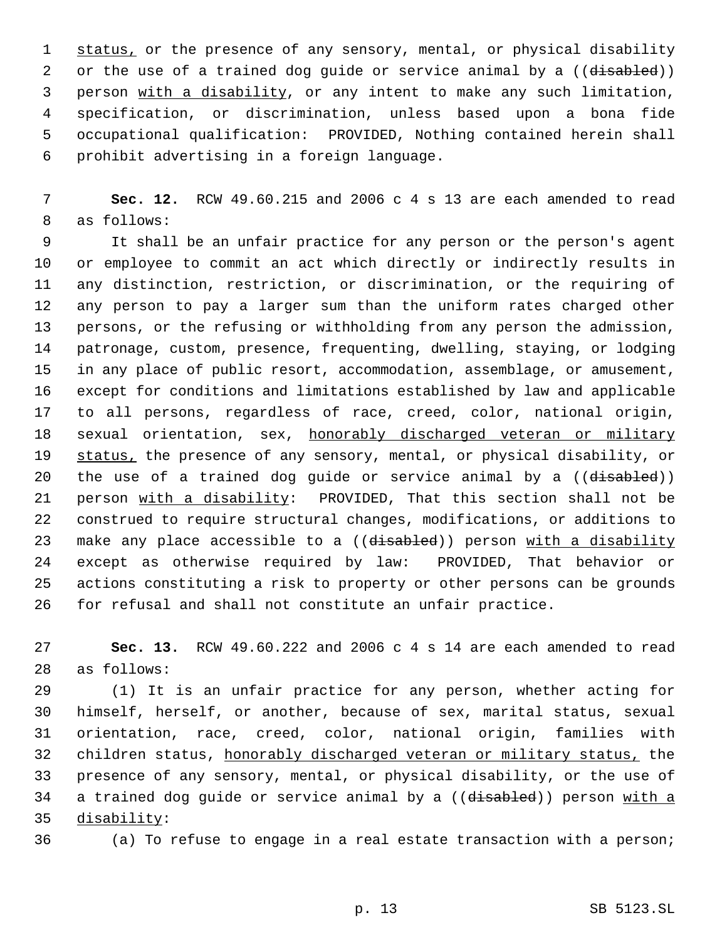1 status, or the presence of any sensory, mental, or physical disability 2 or the use of a trained dog guide or service animal by a ((disabled)) person with a disability, or any intent to make any such limitation, specification, or discrimination, unless based upon a bona fide occupational qualification: PROVIDED, Nothing contained herein shall prohibit advertising in a foreign language.

 **Sec. 12.** RCW 49.60.215 and 2006 c 4 s 13 are each amended to read as follows:

 It shall be an unfair practice for any person or the person's agent or employee to commit an act which directly or indirectly results in any distinction, restriction, or discrimination, or the requiring of any person to pay a larger sum than the uniform rates charged other persons, or the refusing or withholding from any person the admission, patronage, custom, presence, frequenting, dwelling, staying, or lodging in any place of public resort, accommodation, assemblage, or amusement, except for conditions and limitations established by law and applicable to all persons, regardless of race, creed, color, national origin, 18 sexual orientation, sex, honorably discharged veteran or military 19 status, the presence of any sensory, mental, or physical disability, or 20 the use of a trained dog guide or service animal by a ((disabled)) 21 person with a disability: PROVIDED, That this section shall not be construed to require structural changes, modifications, or additions to 23 make any place accessible to a ((disabled)) person with a disability except as otherwise required by law: PROVIDED, That behavior or actions constituting a risk to property or other persons can be grounds for refusal and shall not constitute an unfair practice.

 **Sec. 13.** RCW 49.60.222 and 2006 c 4 s 14 are each amended to read as follows:

 (1) It is an unfair practice for any person, whether acting for himself, herself, or another, because of sex, marital status, sexual orientation, race, creed, color, national origin, families with 32 children status, honorably discharged veteran or military status, the presence of any sensory, mental, or physical disability, or the use of 34 a trained dog guide or service animal by a ((disabled)) person with a disability:

(a) To refuse to engage in a real estate transaction with a person;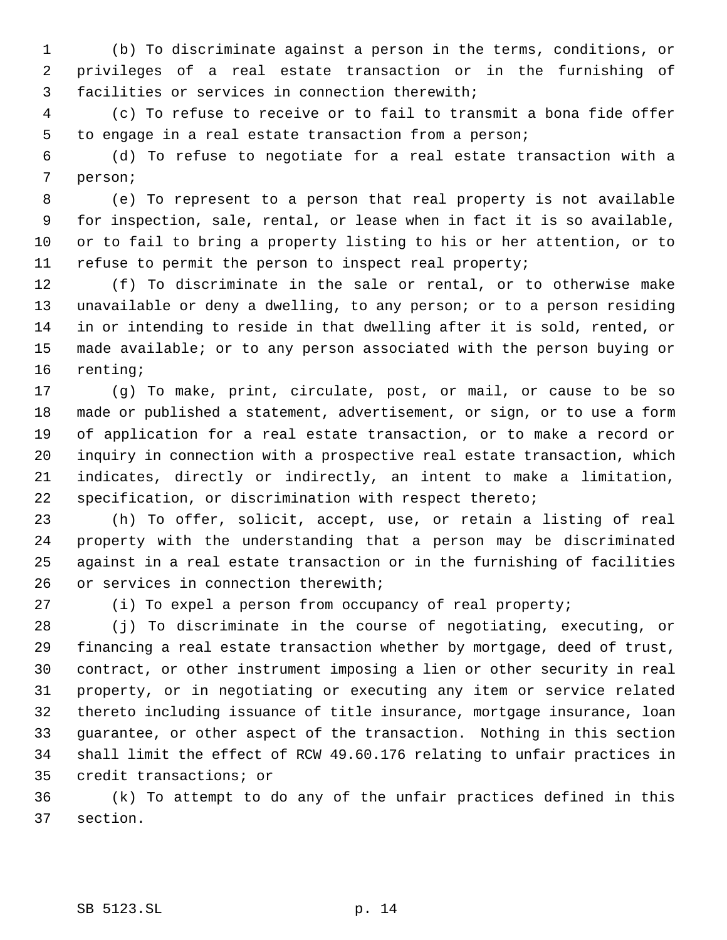(b) To discriminate against a person in the terms, conditions, or privileges of a real estate transaction or in the furnishing of facilities or services in connection therewith;

 (c) To refuse to receive or to fail to transmit a bona fide offer to engage in a real estate transaction from a person;

 (d) To refuse to negotiate for a real estate transaction with a person;

 (e) To represent to a person that real property is not available for inspection, sale, rental, or lease when in fact it is so available, or to fail to bring a property listing to his or her attention, or to refuse to permit the person to inspect real property;

 (f) To discriminate in the sale or rental, or to otherwise make unavailable or deny a dwelling, to any person; or to a person residing in or intending to reside in that dwelling after it is sold, rented, or made available; or to any person associated with the person buying or renting;

 (g) To make, print, circulate, post, or mail, or cause to be so made or published a statement, advertisement, or sign, or to use a form of application for a real estate transaction, or to make a record or inquiry in connection with a prospective real estate transaction, which indicates, directly or indirectly, an intent to make a limitation, specification, or discrimination with respect thereto;

 (h) To offer, solicit, accept, use, or retain a listing of real property with the understanding that a person may be discriminated against in a real estate transaction or in the furnishing of facilities 26 or services in connection therewith;

(i) To expel a person from occupancy of real property;

 (j) To discriminate in the course of negotiating, executing, or financing a real estate transaction whether by mortgage, deed of trust, contract, or other instrument imposing a lien or other security in real property, or in negotiating or executing any item or service related thereto including issuance of title insurance, mortgage insurance, loan guarantee, or other aspect of the transaction. Nothing in this section shall limit the effect of RCW 49.60.176 relating to unfair practices in credit transactions; or

 (k) To attempt to do any of the unfair practices defined in this section.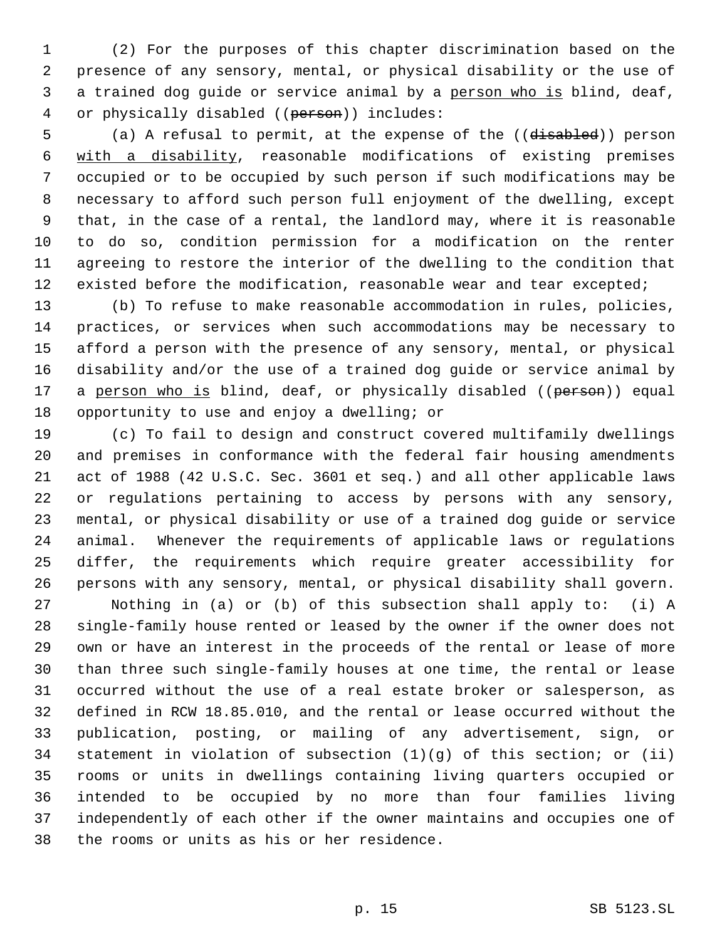(2) For the purposes of this chapter discrimination based on the presence of any sensory, mental, or physical disability or the use of a trained dog guide or service animal by a person who is blind, deaf, 4 or physically disabled ((person)) includes:

5 (a) A refusal to permit, at the expense of the ((disabled)) person with a disability, reasonable modifications of existing premises occupied or to be occupied by such person if such modifications may be necessary to afford such person full enjoyment of the dwelling, except that, in the case of a rental, the landlord may, where it is reasonable to do so, condition permission for a modification on the renter agreeing to restore the interior of the dwelling to the condition that 12 existed before the modification, reasonable wear and tear excepted;

 (b) To refuse to make reasonable accommodation in rules, policies, practices, or services when such accommodations may be necessary to afford a person with the presence of any sensory, mental, or physical disability and/or the use of a trained dog guide or service animal by 17 a person who is blind, deaf, or physically disabled ((person)) equal opportunity to use and enjoy a dwelling; or

 (c) To fail to design and construct covered multifamily dwellings and premises in conformance with the federal fair housing amendments act of 1988 (42 U.S.C. Sec. 3601 et seq.) and all other applicable laws or regulations pertaining to access by persons with any sensory, mental, or physical disability or use of a trained dog guide or service animal. Whenever the requirements of applicable laws or regulations differ, the requirements which require greater accessibility for persons with any sensory, mental, or physical disability shall govern. Nothing in (a) or (b) of this subsection shall apply to: (i) A single-family house rented or leased by the owner if the owner does not own or have an interest in the proceeds of the rental or lease of more than three such single-family houses at one time, the rental or lease occurred without the use of a real estate broker or salesperson, as defined in RCW 18.85.010, and the rental or lease occurred without the publication, posting, or mailing of any advertisement, sign, or statement in violation of subsection (1)(g) of this section; or (ii)

 rooms or units in dwellings containing living quarters occupied or intended to be occupied by no more than four families living independently of each other if the owner maintains and occupies one of the rooms or units as his or her residence.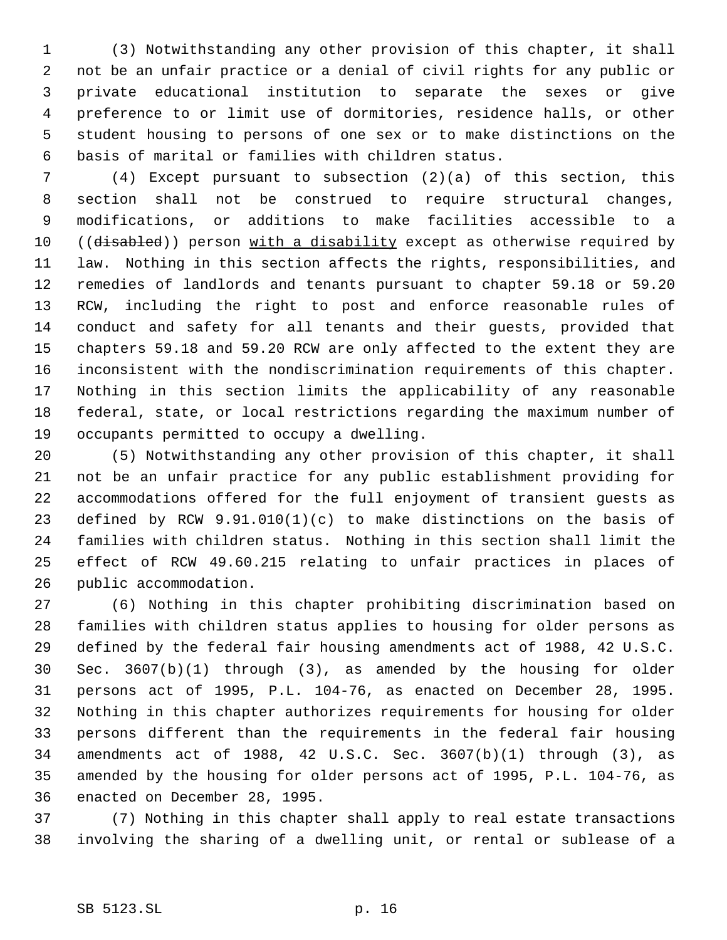(3) Notwithstanding any other provision of this chapter, it shall not be an unfair practice or a denial of civil rights for any public or private educational institution to separate the sexes or give preference to or limit use of dormitories, residence halls, or other student housing to persons of one sex or to make distinctions on the basis of marital or families with children status.

 (4) Except pursuant to subsection (2)(a) of this section, this section shall not be construed to require structural changes, modifications, or additions to make facilities accessible to a 10 ((disabled)) person with a disability except as otherwise required by law. Nothing in this section affects the rights, responsibilities, and remedies of landlords and tenants pursuant to chapter 59.18 or 59.20 RCW, including the right to post and enforce reasonable rules of conduct and safety for all tenants and their guests, provided that chapters 59.18 and 59.20 RCW are only affected to the extent they are inconsistent with the nondiscrimination requirements of this chapter. Nothing in this section limits the applicability of any reasonable federal, state, or local restrictions regarding the maximum number of occupants permitted to occupy a dwelling.

 (5) Notwithstanding any other provision of this chapter, it shall not be an unfair practice for any public establishment providing for accommodations offered for the full enjoyment of transient guests as defined by RCW 9.91.010(1)(c) to make distinctions on the basis of families with children status. Nothing in this section shall limit the effect of RCW 49.60.215 relating to unfair practices in places of public accommodation.

 (6) Nothing in this chapter prohibiting discrimination based on families with children status applies to housing for older persons as defined by the federal fair housing amendments act of 1988, 42 U.S.C. Sec. 3607(b)(1) through (3), as amended by the housing for older persons act of 1995, P.L. 104-76, as enacted on December 28, 1995. Nothing in this chapter authorizes requirements for housing for older persons different than the requirements in the federal fair housing amendments act of 1988, 42 U.S.C. Sec. 3607(b)(1) through (3), as amended by the housing for older persons act of 1995, P.L. 104-76, as enacted on December 28, 1995.

 (7) Nothing in this chapter shall apply to real estate transactions involving the sharing of a dwelling unit, or rental or sublease of a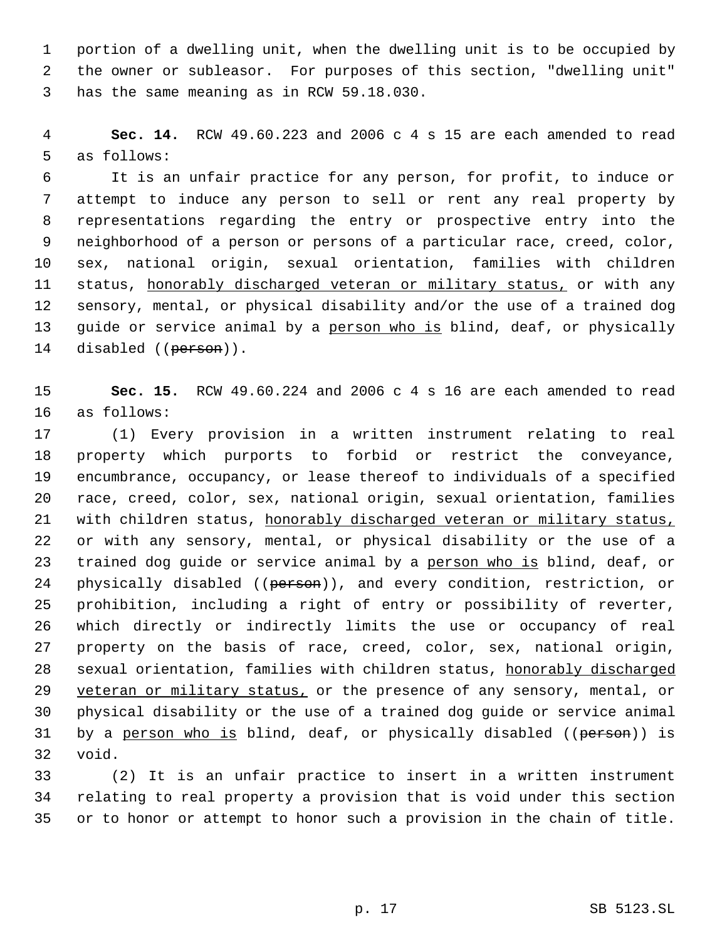portion of a dwelling unit, when the dwelling unit is to be occupied by the owner or subleasor. For purposes of this section, "dwelling unit" has the same meaning as in RCW 59.18.030.

 **Sec. 14.** RCW 49.60.223 and 2006 c 4 s 15 are each amended to read as follows:

 It is an unfair practice for any person, for profit, to induce or attempt to induce any person to sell or rent any real property by representations regarding the entry or prospective entry into the neighborhood of a person or persons of a particular race, creed, color, sex, national origin, sexual orientation, families with children 11 status, honorably discharged veteran or military status, or with any sensory, mental, or physical disability and/or the use of a trained dog guide or service animal by a person who is blind, deaf, or physically 14 disabled ((person)).

 **Sec. 15.** RCW 49.60.224 and 2006 c 4 s 16 are each amended to read as follows:

 (1) Every provision in a written instrument relating to real property which purports to forbid or restrict the conveyance, encumbrance, occupancy, or lease thereof to individuals of a specified race, creed, color, sex, national origin, sexual orientation, families 21 with children status, honorably discharged veteran or military status, or with any sensory, mental, or physical disability or the use of a 23 trained dog guide or service animal by a person who is blind, deaf, or 24 physically disabled ((person)), and every condition, restriction, or prohibition, including a right of entry or possibility of reverter, which directly or indirectly limits the use or occupancy of real property on the basis of race, creed, color, sex, national origin, 28 sexual orientation, families with children status, honorably discharged 29 veteran or military status, or the presence of any sensory, mental, or physical disability or the use of a trained dog guide or service animal 31 by a person who is blind, deaf, or physically disabled ((person)) is void.

 (2) It is an unfair practice to insert in a written instrument relating to real property a provision that is void under this section or to honor or attempt to honor such a provision in the chain of title.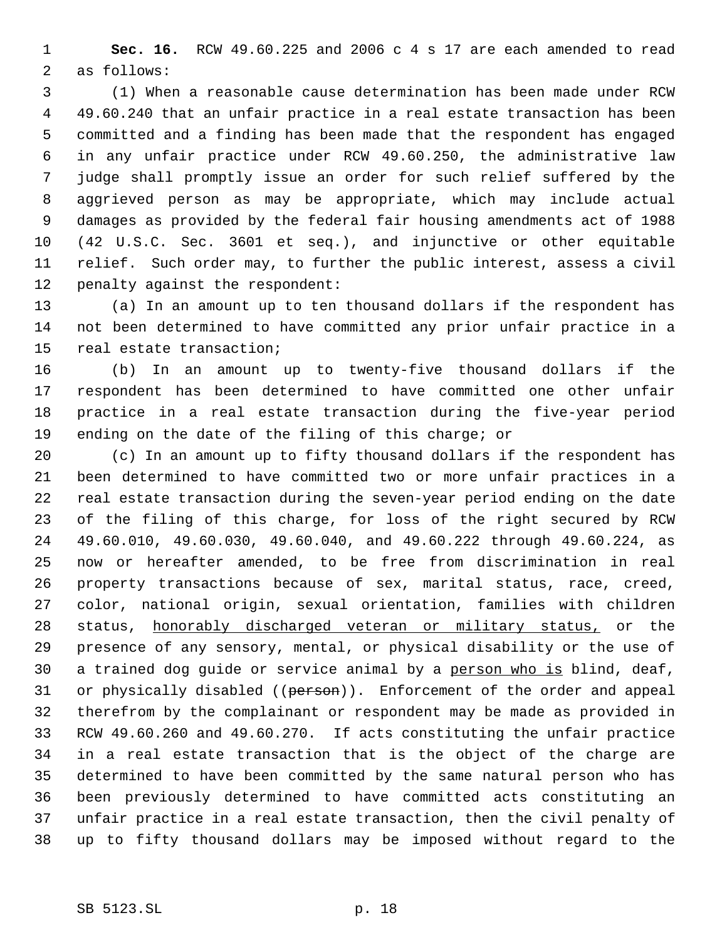**Sec. 16.** RCW 49.60.225 and 2006 c 4 s 17 are each amended to read as follows:

 (1) When a reasonable cause determination has been made under RCW 49.60.240 that an unfair practice in a real estate transaction has been committed and a finding has been made that the respondent has engaged in any unfair practice under RCW 49.60.250, the administrative law judge shall promptly issue an order for such relief suffered by the aggrieved person as may be appropriate, which may include actual damages as provided by the federal fair housing amendments act of 1988 (42 U.S.C. Sec. 3601 et seq.), and injunctive or other equitable relief. Such order may, to further the public interest, assess a civil penalty against the respondent:

 (a) In an amount up to ten thousand dollars if the respondent has not been determined to have committed any prior unfair practice in a real estate transaction;

 (b) In an amount up to twenty-five thousand dollars if the respondent has been determined to have committed one other unfair practice in a real estate transaction during the five-year period ending on the date of the filing of this charge; or

 (c) In an amount up to fifty thousand dollars if the respondent has been determined to have committed two or more unfair practices in a real estate transaction during the seven-year period ending on the date of the filing of this charge, for loss of the right secured by RCW 49.60.010, 49.60.030, 49.60.040, and 49.60.222 through 49.60.224, as now or hereafter amended, to be free from discrimination in real property transactions because of sex, marital status, race, creed, color, national origin, sexual orientation, families with children 28 status, honorably discharged veteran or military status, or the presence of any sensory, mental, or physical disability or the use of 30 a trained dog guide or service animal by a person who is blind, deaf, 31 or physically disabled ((person)). Enforcement of the order and appeal therefrom by the complainant or respondent may be made as provided in RCW 49.60.260 and 49.60.270. If acts constituting the unfair practice in a real estate transaction that is the object of the charge are determined to have been committed by the same natural person who has been previously determined to have committed acts constituting an unfair practice in a real estate transaction, then the civil penalty of up to fifty thousand dollars may be imposed without regard to the